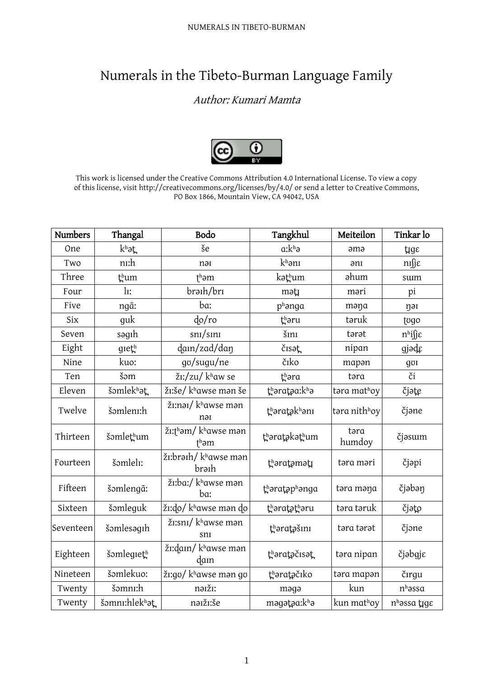## Numerals in the Tibeto-Burman Language Family

## Author: Kumari Mamta



This work is licensed under the Creative Commons Attribution 4.0 International License. To view a copy of this license, visit http://creativecommons.org/licenses/by/4.0/ or send a letter to Creative Commons, PO Box 1866, Mountain View, CA 94042, USA

| <b>Numbers</b> | Thangal       | Bodo                                               | Tangkhul      | Meiteilon      | Tinkar lo                |
|----------------|---------------|----------------------------------------------------|---------------|----------------|--------------------------|
| One            | khat          | še                                                 | $a:k^h$       | əmə            | $\mu$ ge                 |
| Two            | nı:h          | nəi                                                | khanı         | ənı            | nı∬ε                     |
| Three          | thum          | $th$ əm                                            | kəthum        | ahum           | sum                      |
| Four           | $\ln$ :       | braih/bri                                          | məti          | məri           | pi                       |
| Five           | ngã:          | ba:                                                | phanga        | məna           | nəi                      |
| Six            | guk           | dofro                                              | thəru         | təruk          | togo                     |
| Seven          | səgıh         | $\frac{\text{sn}}{\text{s}}$                       | šını          | tarat          | $n^h$ ifj $\varepsilon$  |
| Eight          | gieth         | dam/zad/dan                                        | čisət         | nipan          | gjəde                    |
| Nine           | kuo:          | go/sugu/ne                                         | čiko          | mapan          | goi                      |
| Ten            | šom           | žı:/zu/ khaw se                                    | thəra         | təra           | či                       |
| Eleven         | šomlekhat     | ži:še/ khawse man še                               | tharataa:kha  | təra mathoy    | čjate                    |
| Twelve         | šomlenn:h     | žı:nai/khawse man<br>nəi                           | thəratəkhəni  | tara nithhoy   | čjane                    |
| Thirteen       | šomlethum     | žı:thəm/khawse mən<br>$\mathfrak{f}^{\text{h}}$ əm | thəratəkəthum | təra<br>humdoy | čjəsum                   |
| Fourteen       | šəmleli:      | ži:braih/khawse man<br>brəih                       | tharatamatı   | təra məri      | čjəpi                    |
| Fifteen        | šəmlengã:     | žı:ba:/ khawse mən<br>ba:                          | tharataphanga | təra məna      | čjəbən                   |
| Sixteen        | šəmleguk      | ži:do/ khawse man do                               | tharatatharu  | təra təruk     | čjəto                    |
| Seventeen      | šəmlesəgih    | žı:snı/ khawse mən<br>snı                          | tharatašını   | tara tarat     | čjone                    |
| Eighteen       | šomlegieth    | žı:dain/khawse mən<br>dam                          | tharatačisat  | təra nipan     | čjəbgje                  |
| Nineteen       | šomlekuo:     | žı:go/ khawse mən go                               | tharatačiko   | təra mapən     | čırgu                    |
| Twenty         | šəmnı:h       | nəiži:                                             | məgə          | kun            | $nh$ əssa                |
| Twenty         | šomnı:hlekhat | naiži:še                                           | məgətəa:khə   | kun mathoy     | n <sup>h</sup> assa tigε |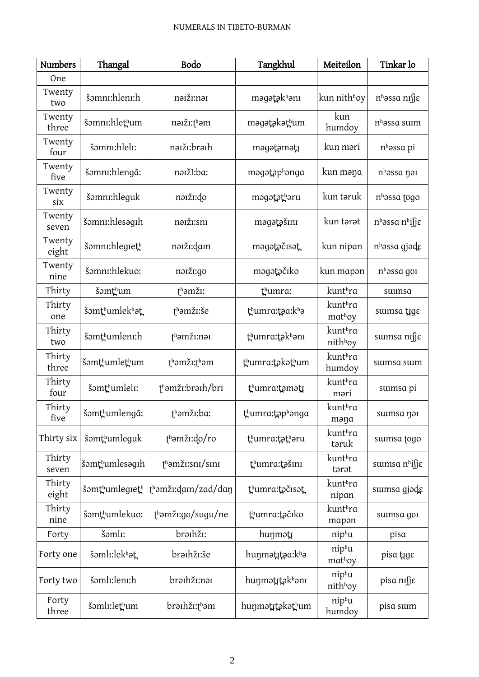| <b>Numbers</b>  | Thangal        | Bodo                   | Tangkhul        | Meiteilon                | Tinkar lo                        |
|-----------------|----------------|------------------------|-----------------|--------------------------|----------------------------------|
| One             |                |                        |                 |                          |                                  |
| Twenty<br>two   | šəmnı:hlenı:h  | nəiži:nəi              | məgətəkhəni     | kun nith <sup>h</sup> oy | n <sup>h</sup> əssa nıfje        |
| Twenty<br>three | šomni:hlethum  | nəiži:thəm             | məgətəkəthum    | kun<br>humdoy            | $nh$ əssa suim                   |
| Twenty<br>four  | šəmnı:hleli:   | nəiži:brəih            | məgətəməti      | kun məri                 | n <sup>h</sup> əssa pi           |
| Twenty<br>five  | šəmnı:hlengã:  | nəižI:ba:              | məgətəphənga    | kun məŋa                 | nhəssa nəi                       |
| Twenty<br>six   | šəmnı:hleguk   | nəiži:do               | məgətəthəru     | kun taruk                | n <sup>h</sup> assa togo         |
| Twenty<br>seven | šomnı:hlesagıh | naiži:sni              | məgətəšini      | kun tərət                | $nh$ əssa $nh$ ifi $\varepsilon$ |
| Twenty<br>eight | šomni:hlegieth | nəiži:dain             | məgətəčisət     | kun nipan                | nhəssa gjəde                     |
| Twenty<br>nine  | šəmnı:hlekuo:  | naiži:go               | məgətəčiko      | kun mapan                | $nh$ əssa gor                    |
| Thirty          | šəmthum        | t <sup>h</sup> əmži:   | thumra:         | kunthra                  | sumsa                            |
| Thirty<br>one   | šomthumlekhat  | t <sup>h</sup> amži:še | thumra:taa:kha  | kunthra<br>mathoy        | sumsa tigε                       |
| Thirty<br>two   | šomthumlenn:h  | thəmžı:nəi             | thumra:təkhəni  | kunthra<br>nithhoy       | sumsa nifje                      |
| Thirty<br>three | šomthumlethum  | thamži:tham            | thumra:təkəthum | kunthra<br>humdoy        | sumsa sum                        |
| Thirty<br>four  | šomthumleli:   | thəmži:brəih/bri       | thumra:tamatı   | kunthra<br>məri          | sumsa pi                         |
| Thirty<br>five  | šomthumlengã:  | thəmži:ba:             | tʰumra:təpʰənga | kunthra<br>məŋa          | sumsa nəi                        |
| Thirty six      | šomthumleguk   | thamži:do/ro           | thumra:tatharu  | kunthra<br>təruk         | sumsa togo                       |
| Thirty<br>seven | šomthumlesagih | $th$ əmžı:snı/sını     | thumra:tašını   | kunthra<br>tarat         | sumsa nhifj $\varepsilon$        |
| Thirty<br>eight | šomthumlegreth | thəmži:dain/zad/dan    | thumra:tačisat  | kunthra<br>nipan         | sumsa gjade                      |
| Thirty<br>nine  | šomthumlekuo:  | thamži:go/sugu/ne      | thumra:točiko   | kunthra<br>mapan         | sumsa goi                        |
| Forty           | šəmlı:         | brathži:               | huŋmətı         | niphu                    | pisa                             |
| Forty one       | šəmlı:lekhət   | braihži:še             | huŋmətɪtəa:kʰə  | niphu<br>mathoy          | pisa tige                        |
| Forty two       | šəmlı:lenı:h   | brəihži:nəi            | huŋmətttəkhənı  | niphu<br>nithhoy         | pisa nıfje                       |
| Forty<br>three  | šəmlı:lethum   | brəihži:tʰəm           | huŋmətɪtəkəthum | niphu<br>humdoy          | pisa sum                         |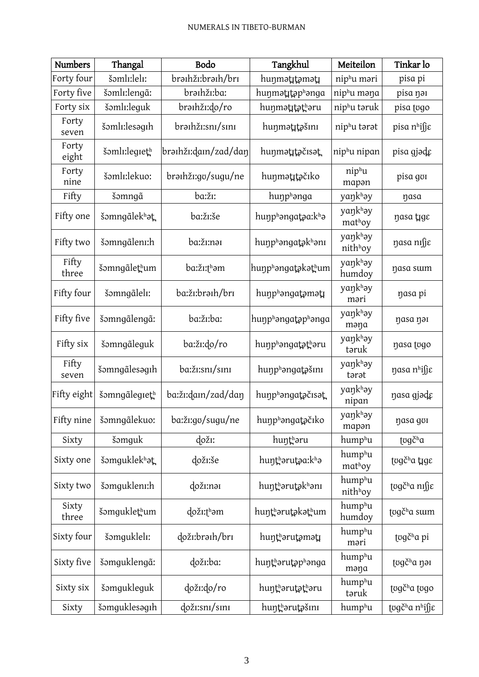| <b>Numbers</b> | Thangal       | Bodo                 | Tangkhul          | Meiteilon          | Tinkar lo                 |
|----------------|---------------|----------------------|-------------------|--------------------|---------------------------|
| Forty four     | šəmlı:leli:   | brathži:brath/bri    | hunmətitəməti     | niphu məri         | pisa pi                   |
| Forty five     | šəmlı:lengã:  | brəihži:ba:          | hunmatitaphanga   | niphu məna         | pisa nai                  |
| Forty six      | šəmlı:leguk   | brəihži:do/ro        | huŋmətɪtətʰəru    | niphu təruk        | pisa togo                 |
| Forty<br>seven | šəmlı:lesəgih | brəihži:sni/sini     | huŋmətitəšini     | niphu tarat        | pisa n <sup>h</sup> isje  |
| Forty<br>eight | šəmli:legieth | brəihži:dain/zad/daŋ | hunmatitačisat    | niphu nipan        | pisa gjəde                |
| Forty<br>nine  | šomli:lekuo:  | brəihži:go/sugu/ne   | huŋmətɪtəčıko     | niphu<br>mapan     | pisa goi                  |
| Fifty          | šəmngã        | ba:žī:               | hunphanga         | yaŋkhəy            | nasa                      |
| Fifty one      | šəmngãlekhət  | ba:žī:še             | hunphangataa:kha  | yankhay<br>mathoy  | nasa tige                 |
| Fifty two      | šəmngãlenı:h  | ba:žī:nəī            | hunphangatakhani  | yankhay<br>nithhoy | nasa nıfje                |
| Fifty<br>three | šəmngãlethum  | ba:žı:tʰəm           | hunphangatakathum | yankhay<br>humdoy  | nasa sum                  |
| Fifty four     | šəmngãlelı:   | ba:ži:brəih/bri      | hunphangatamati   | yaŋkhəy<br>məri    | nasa pi                   |
| Fifty five     | šəmngãlengã:  | ba:ži:ba:            | hunphangataphanga | yaŋkhəy<br>məna    | nasa nai                  |
| Fifty six      | šəmngãleguk   | ba:ži:do/ro          | hunphangatatharu  | yaŋkhəy<br>təruk   | nasa togo                 |
| Fifty<br>seven | šəmngãlesagıh | ba:ži:sni/sini       | hunphangatašini   | yaŋkhəy<br>tarat   | ηαsα n <sup>h</sup> isjε  |
| Fifty eight    | šəmngalegieth | ba:žı:dam/zad/daŋ    | hunphangatačisat  | yaŋkhəy<br>nipan   | nasa gjəde                |
| Fifty nine     | šomngãlekuo:  | ba:ži:go/sugu/ne     | hunphangatačiko   | yaŋkʰəy<br>mapan   | nasa gol                  |
| Sixty          | šəmguk        | doži:                | huntharu          | humphu             | togč <sup>h</sup> a       |
| Sixty one      | šomguklekhat  | doži:še              | huntharutaa:kha   | humphu<br>mathoy   | togč <sup>h</sup> a tige  |
| Sixty two      | šəmguklenı:h  | doži:nəi             | huntharutakhanı   | humphu<br>nithhoy  | togč <sup>h</sup> a ni∫je |
| Sixty<br>three | šomguklethum  | doži:thəm            | huŋtʰərutəkətʰum  | humphu<br>humdoy   | togč <sup>h</sup> a sum   |
| Sixty four     | šəmguklelı:   | doži:brəih/bri       | huŋtʰərutəmətı    | humphu<br>məri     | togč <sup>h</sup> a pi    |
| Sixty five     | šomguklengã:  | doži:ba:             | huntharutaphanga  | humphu<br>məna     | togč <sup>h</sup> a nai   |
| Sixty six      | šomgukleguk   | doži:do/ro           | huŋtʰərutətʰəru   | humphu<br>təruk    | togč <sup>h</sup> a togo  |
| Sixty          | šəmguklesəgih | doži:sni/sini        | huŋtʰərutəšını    | humphu             | tʊgčʰa nʰi∬ɛ              |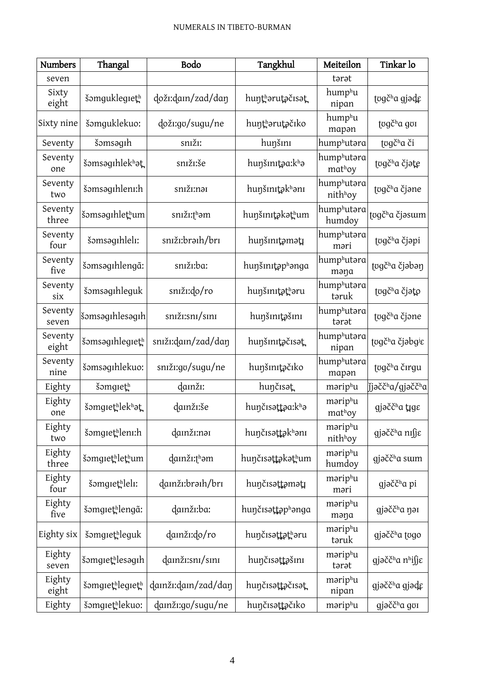| <b>Numbers</b>   | Thangal         | Bodo                   | Tangkhul          | Meiteilon             | Tinkar lo                                |
|------------------|-----------------|------------------------|-------------------|-----------------------|------------------------------------------|
| seven            |                 |                        |                   | tarat                 |                                          |
| Sixty<br>eight   | šomguklegieth   | doži:dam/zad/daŋ       | huntharutačisat   | humphu<br>nipan       | togč <sup>h</sup> a gjəde                |
| Sixty nine       | šomguklekuo:    | doži:go/sugu/ne        | huntharutačiko    | humphu<br>mapan       | togč <sup>h</sup> a gor                  |
| Seventy          | šəmsəgih        | sniži:                 | hunšini           | humphutara            | togč <sup>h</sup> a či                   |
| Seventy<br>one   | šəmsəgihlekhat  | sniži:še               | hunšinita:kha     | humphutəra<br>mathoy  | togč <sup>h</sup> a čjəte                |
| Seventy<br>two   | šəmsəgihleni:h  | sniži:nai              | hunšinitakhani    | humphutara<br>nithhoy | togč <sup>h</sup> a čjane                |
| Seventy<br>three | šəmsəgihlethum  | snıžı:thəm             | huŋšmɪţakaţhum    | humphutara<br>humdoy  | tʊgčʰa čjəsɯm                            |
| Seventy<br>four  | šəmsəgihleli:   | sniži:braih/bri        | huŋšmıţəməţı      | humphutara<br>məri    | tugč <sup>h</sup> a čjəpi                |
| Seventy<br>five  | šəmsəgihlengã:  | sniži:ba:              | hunšinitaphanga   | humphutara<br>məna    | togč <sup>h</sup> a čjəbən               |
| Seventy<br>six   | šəmsəqihleguk   | sniži:do/ro            | huŋšmıţąţhəru     | humphutara<br>təruk   | tugč <sup>h</sup> a čjato                |
| Seventy<br>seven | šomsagıhlesagıh | sniz:snz/sinI          | huŋšmtašm         | humphutara<br>tarat   | togč <sup>h</sup> a čjone                |
| Seventy<br>eight | šomsagihlegieth | sniži:dain/zad/dan     | hunšinitačisat    | humphutara<br>nipan   | togč <sup>h</sup> a čjəbgie              |
| Seventy<br>nine  | šomsagihlekuo:  | sniži:go/sugu/ne       | hunšinitačiko     | humphutəra<br>mapan   | togč <sup>h</sup> a čirgu                |
| Eighty           | šomgreth        | damži:                 | hunčisat          | məriphu               | )j̇̃jəččʰα/gjəččʰα                       |
| Eighty<br>one    | šomgrethlekhat  | damži:še               | hunčisattaa:kha   | məriphu<br>mathoy     | gjačč <sup>h</sup> a tige                |
| Eighty<br>two    | šomgrethlenr:h  | damži:nai              | huŋčısəttəkhənı   | məriphu<br>nithhoy    | gjəčč <sup>h</sup> a nı∬ε                |
| Eighty<br>three  | šomgrethlethum  | damži:th <sub>am</sub> | huŋčɪsəttəkəthum  | məriphu<br>humdoy     | gjəčč <sup>h</sup> a sum                 |
| Eighty<br>four   | šəmgrethleli:   | damži:braih/bri        | huŋčisəttəməti    | məriphu<br>məri       | gjačč <sup>h</sup> a pi                  |
| Eighty<br>five   | šomgrethlengã:  | damži:ba:              | hunčisattaphanga  | məriphu<br>məŋa       | gjəčč <sup>h</sup> a nəi                 |
| Eighty six       | šomgrethleguk   | damži:do/ro            | huŋčɪsəṭt̪ət̪ʰəru | məriphu<br>taruk      | gjačč <sup>h</sup> a togo                |
| Eighty<br>seven  | šomgrethlesagrh | damži:sni/sini         | huŋčısəttəšını    | məriphu<br>tarat      | gjəčč <sup>h</sup> a n <sup>h</sup> i∫jɛ |
| Eighty<br>eight  | šomgrethlegreth | damži:dam/zad/daŋ      | huŋčisəttəčisət   | məriphu<br>nipan      | gjəčč <sup>h</sup> a gjədg               |
| Eighty           | šomgrethlekuo:  | damži:go/sugu/ne       | hunčisattačiko    | məriphu               | gjəčč <sup>h</sup> a gvi                 |